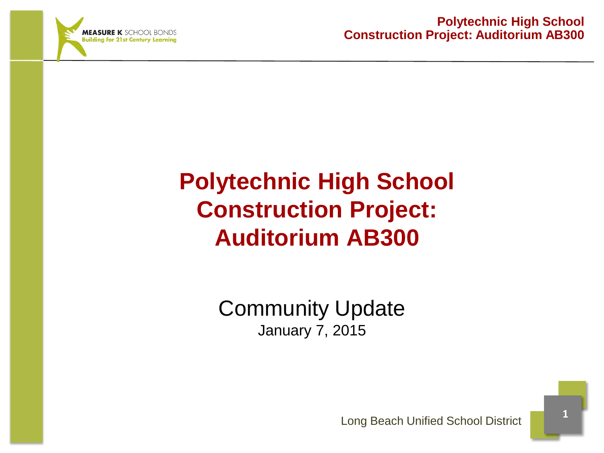

Community Update January 7, 2015

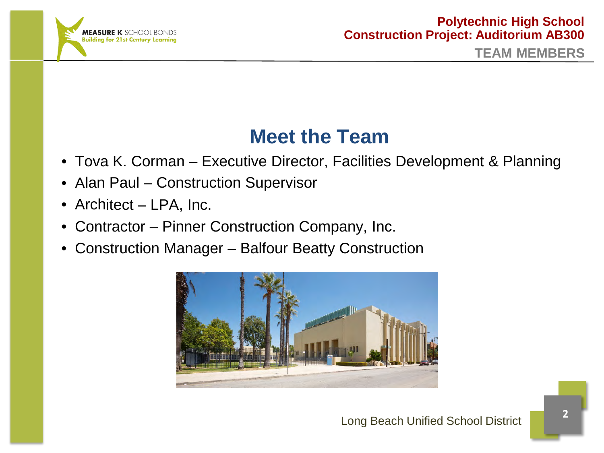

## **Meet the Team**

- Tova K. Corman Executive Director, Facilities Development & Planning
- Alan Paul Construction Supervisor
- Architect LPA, Inc.
- Contractor Pinner Construction Company, Inc.
- Construction Manager Balfour Beatty Construction

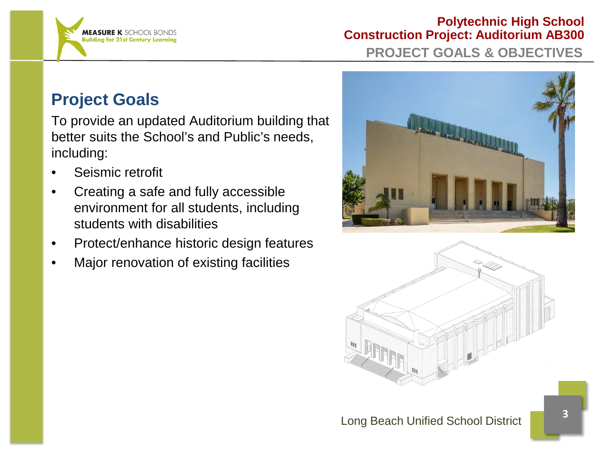

## **Polytechnic High School Construction Project: Auditorium AB300 PROJECT GOALS & OBJECTIVES**

## **Project Goals**

To provide an updated Auditorium building that better suits the School's and Public's needs, including:

- Seismic retrofit
- Creating a safe and fully accessible environment for all students, including students with disabilities
- Protect/enhance historic design features
- Major renovation of existing facilities



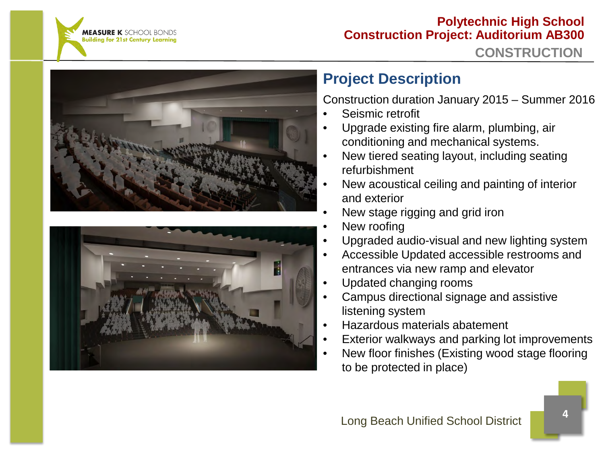





## **Project Description**

Construction duration January 2015 – Summer 2016

- Seismic retrofit
- Upgrade existing fire alarm, plumbing, air conditioning and mechanical systems.
- New tiered seating layout, including seating refurbishment
- New acoustical ceiling and painting of interior and exterior
- New stage rigging and grid iron
- New roofing
- Upgraded audio-visual and new lighting system
- Accessible Updated accessible restrooms and entrances via new ramp and elevator
- Updated changing rooms
- Campus directional signage and assistive listening system
- Hazardous materials abatement
- Exterior walkways and parking lot improvements
- New floor finishes (Existing wood stage flooring to be protected in place)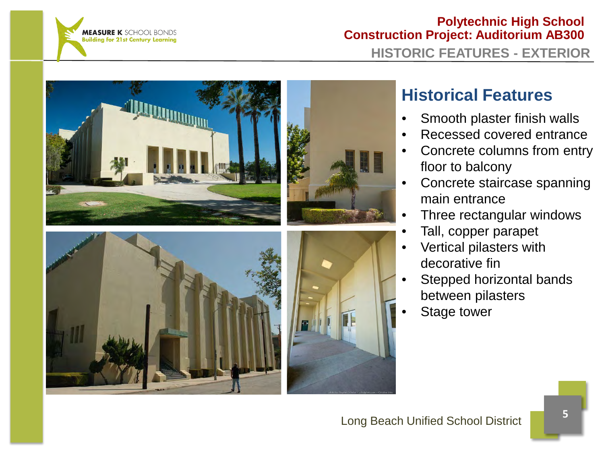

## **Polytechnic High School Construction Project: Auditorium AB300 HISTORIC FEATURES - EXTERIOR**



## **Historical Features**

- Smooth plaster finish walls
- Recessed covered entrance
- Concrete columns from entry floor to balcony
- Concrete staircase spanning main entrance
- Three rectangular windows
- Tall, copper parapet
- Vertical pilasters with decorative fin
- Stepped horizontal bands between pilasters
- Stage tower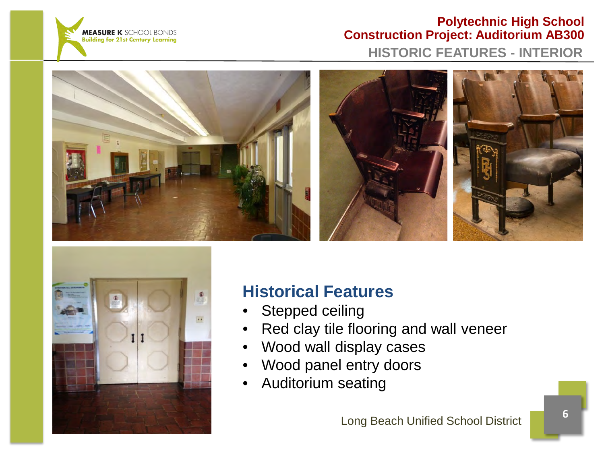

## **Polytechnic High School Construction Project: Auditorium AB300 HISTORIC FEATURES - INTERIOR**







## **Historical Features**

- Stepped ceiling
- Red clay tile flooring and wall veneer
- Wood wall display cases
- Wood panel entry doors
- Auditorium seating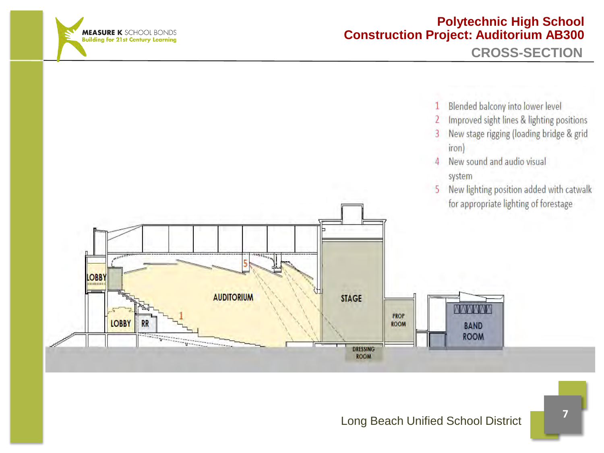

**CROSS-SECTION** 



- Improved sight lines & lighting positions 2
- $\overline{3}$ New stage rigging (loading bridge & grid iron)
- New sound and audio visual  $\overline{4}$ system
- New lighting position added with catwalk 5 for appropriate lighting of forestage

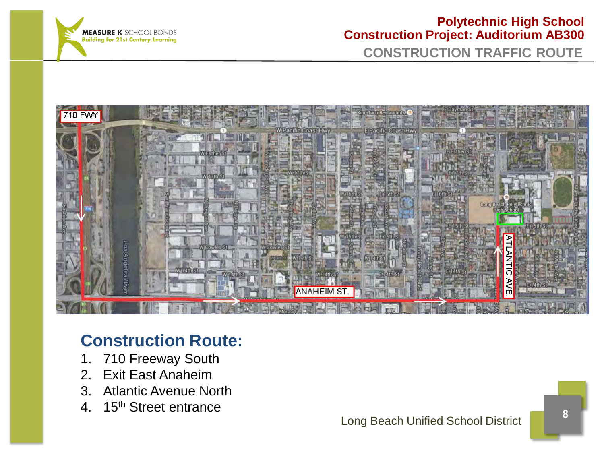

#### **Polytechnic High School Construction Project: Auditorium AB300 CONSTRUCTION TRAFFIC ROUTE**



## **Construction Route:**

- 1. 710 Freeway South
- 2. Exit East Anaheim
- 3. Atlantic Avenue North
- 4. 15<sup>th</sup> Street entrance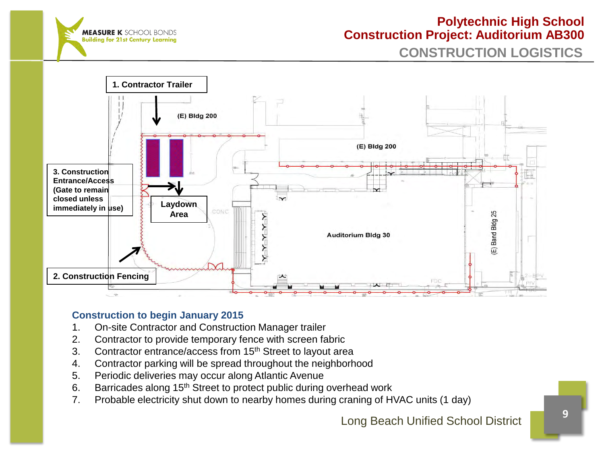

**CONSTRUCTION LOGISTICS**



#### **Construction to begin January 2015**

- 1. On-site Contractor and Construction Manager trailer
- 2. Contractor to provide temporary fence with screen fabric
- 3. Contractor entrance/access from 15<sup>th</sup> Street to layout area
- 4. Contractor parking will be spread throughout the neighborhood
- 5. Periodic deliveries may occur along Atlantic Avenue
- 6. Barricades along 15<sup>th</sup> Street to protect public during overhead work
- 7. Probable electricity shut down to nearby homes during craning of HVAC units (1 day)

Long Beach Unified School District **<sup>9</sup>**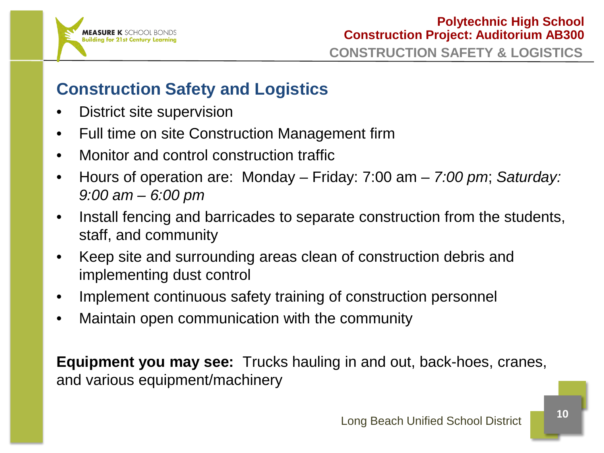

## **Construction Safety and Logistics**

- District site supervision
- Full time on site Construction Management firm
- Monitor and control construction traffic
- Hours of operation are: Monday Friday: 7:00 am *7:00 pm*; *Saturday: 9:00 am – 6:00 pm*
- Install fencing and barricades to separate construction from the students, staff, and community
- Keep site and surrounding areas clean of construction debris and implementing dust control
- Implement continuous safety training of construction personnel
- Maintain open communication with the community

**Equipment you may see:** Trucks hauling in and out, back-hoes, cranes, and various equipment/machinery